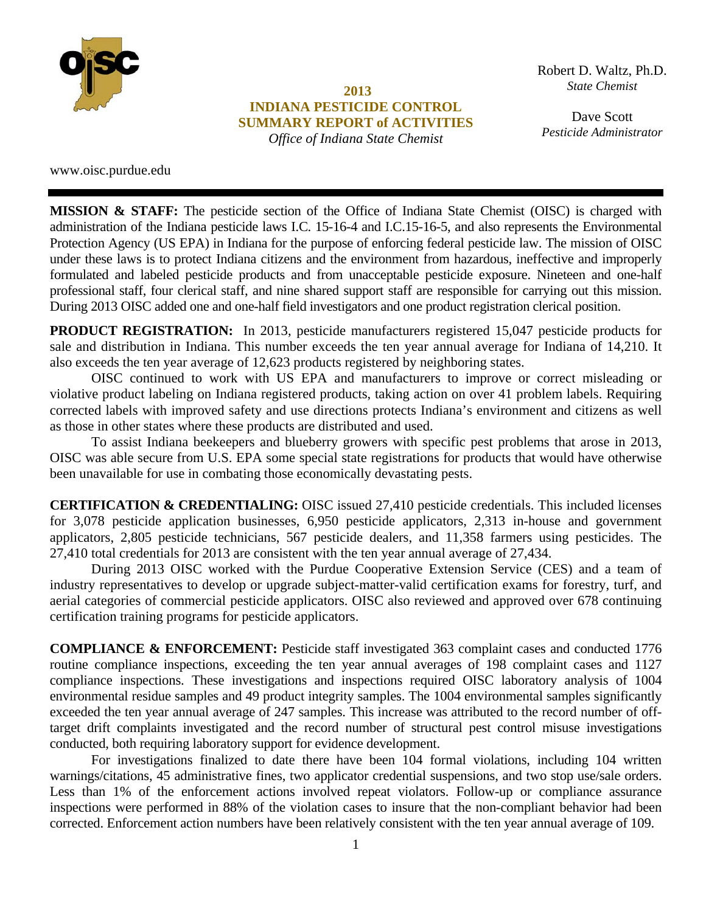

**2013 INDIANA PESTICIDE CONTROL SUMMARY REPORT of ACTIVITIES**  *Office of Indiana State Chemist* 

 $State$  *Chemist State Chemist & Seed*  Robert D. Waltz, Ph.D.

**Larry W. Nees**  *Pesticide Administrator*Dave Scott

www.oisc.purdue.edu

**MISSION & STAFF:** The pesticide section of the Office of Indiana State Chemist (OISC) is charged with administration of the Indiana pesticide laws I.C. 15-16-4 and I.C.15-16-5, and also represents the Environmental Protection Agency (US EPA) in Indiana for the purpose of enforcing federal pesticide law. The mission of OISC under these laws is to protect Indiana citizens and the environment from hazardous, ineffective and improperly formulated and labeled pesticide products and from unacceptable pesticide exposure. Nineteen and one-half professional staff, four clerical staff, and nine shared support staff are responsible for carrying out this mission. During 2013 OISC added one and one-half field investigators and one product registration clerical position.

**PRODUCT REGISTRATION:** In 2013, pesticide manufacturers registered 15,047 pesticide products for sale and distribution in Indiana. This number exceeds the ten year annual average for Indiana of 14,210. It also exceeds the ten year average of 12,623 products registered by neighboring states.

 OISC continued to work with US EPA and manufacturers to improve or correct misleading or violative product labeling on Indiana registered products, taking action on over 41 problem labels. Requiring corrected labels with improved safety and use directions protects Indiana's environment and citizens as well as those in other states where these products are distributed and used.

 To assist Indiana beekeepers and blueberry growers with specific pest problems that arose in 2013, OISC was able secure from U.S. EPA some special state registrations for products that would have otherwise been unavailable for use in combating those economically devastating pests.

**CERTIFICATION & CREDENTIALING:** OISC issued 27,410 pesticide credentials. This included licenses for 3,078 pesticide application businesses, 6,950 pesticide applicators, 2,313 in-house and government applicators, 2,805 pesticide technicians, 567 pesticide dealers, and 11,358 farmers using pesticides. The 27,410 total credentials for 2013 are consistent with the ten year annual average of 27,434.

 During 2013 OISC worked with the Purdue Cooperative Extension Service (CES) and a team of industry representatives to develop or upgrade subject-matter-valid certification exams for forestry, turf, and aerial categories of commercial pesticide applicators. OISC also reviewed and approved over 678 continuing certification training programs for pesticide applicators.

**COMPLIANCE & ENFORCEMENT:** Pesticide staff investigated 363 complaint cases and conducted 1776 routine compliance inspections, exceeding the ten year annual averages of 198 complaint cases and 1127 compliance inspections. These investigations and inspections required OISC laboratory analysis of 1004 environmental residue samples and 49 product integrity samples. The 1004 environmental samples significantly exceeded the ten year annual average of 247 samples. This increase was attributed to the record number of offtarget drift complaints investigated and the record number of structural pest control misuse investigations conducted, both requiring laboratory support for evidence development.

 For investigations finalized to date there have been 104 formal violations, including 104 written warnings/citations, 45 administrative fines, two applicator credential suspensions, and two stop use/sale orders. Less than 1% of the enforcement actions involved repeat violators. Follow-up or compliance assurance inspections were performed in 88% of the violation cases to insure that the non-compliant behavior had been corrected. Enforcement action numbers have been relatively consistent with the ten year annual average of 109.